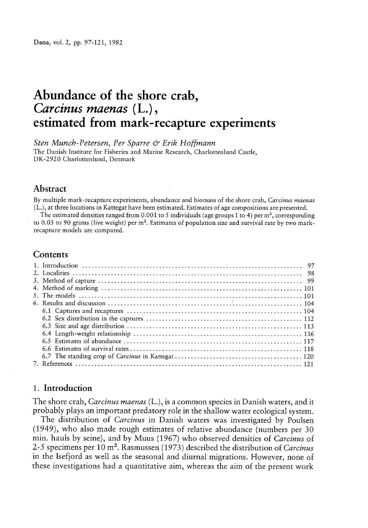# Abundance of the shore crab, Carcinus maenas (L.), estimated from mark-recapture experiments

Sten Munch-Petersen, Per Sparre & Erik Hoffmann The Danish Institute for Fisheries and Marine Research, Charlottenlund Castle, DK-2920 Charlottenlund, Denmark

#### Abstract

By multiple mark-recapture experiments, abundance and biomass of the shore crab, Carcinus maenas (L.), at three locations in Kattegat have been estimated. Estimates of age compositions are presented.

The estimated densities ranged from 0.001 to 5 individuals (age groups 1 to 4) per  $m^2$ , corresponding to 0.03 to 90 grams (live weight) per m<sup>2</sup>. Estimates of population size and survival rate by two markrecapture models are compared.

## **Contents**

## 1. Introduction

The shore crab, Carcinus maenas (L.), is a common species in Danish waters, and it probably <sup>p</sup>lays an important predatory role in the shallow water ecological system.

The distribution of Carcinus in Danish waters was investigated by Poulsen (1949), who also made roug<sup>h</sup> estimates of relative abundance (numbers per <sup>30</sup> min. hauls by seine), and by Muus (1967) who observed densities of Carcinus of 2-5 specimens per 10 m<sup>2</sup>. Rasmussen (1973) described the distribution of Carcinus in the Isefjord as well as the seasonal and diurnal migrations. However, none of these investigations had <sup>a</sup> quantitative aim, whereas the aim of the presen<sup>t</sup> work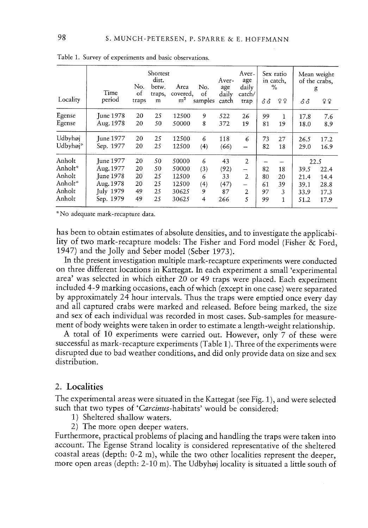|          | Time             | No.<br>of | Shortest<br>dist.<br>betw.<br>traps, | Area<br>covered. | No.<br>of      | Aver-<br>age<br>daily | Aver-<br>age<br>daily<br>catch/ |     | Sex ratio<br>in catch,<br>$\%$ |      | Mean weight<br>of the crabs,<br>g |
|----------|------------------|-----------|--------------------------------------|------------------|----------------|-----------------------|---------------------------------|-----|--------------------------------|------|-----------------------------------|
| Locality | period           | traps     | m                                    | m <sup>2</sup>   | samples        | catch                 | trap                            | ර ර | 99                             | ර ර  | 99                                |
| Egense   | <b>June 1978</b> | 20        | 25                                   | 12500            | 9              | 522                   | 26                              | 99  | $\mathbf{1}$                   | 17.8 | 7.6                               |
| Egense   | Aug. 1978        | 20        | 50                                   | 50000            | 8              | 372                   | 19                              | 81  | 19                             | 18.0 | 8.9                               |
| Udbyhøj  | <b>Iune 1977</b> | 20        | 25                                   | 12500            | 6              | 118                   | 6                               | 73  | 27                             | 26.5 | 17.2                              |
| Udbyhøj* | Sep. 1977        | 20        | 25                                   | 12500            | (4)            | (66)                  | $\overline{\phantom{a}}$        | 82  | 18                             | 29.0 | 16.9                              |
| Anholt   | June 1977        | 20        | 50                                   | 50000            | 6              | 43                    | $\overline{2}$                  |     |                                |      | 22.5                              |
| Anholt*  | Aug. 1977        | 20        | 50                                   | 50000            | (3)            | (92)                  | -                               | 82  | 18                             | 39.5 | 22.4                              |
| Anholt   | June 1978        | 20        | 25                                   | 12500            | 6              | 33                    | $\overline{2}$                  | 80  | 20                             | 21.4 | 14.4                              |
| Anholt*  | Aug. 1978        | 20        | 25                                   | 12500            | (4)            | (47)                  | $\overline{\phantom{0}}$        | 61  | 39                             | 39.1 | 28.8                              |
| Anholt   | July 1979        | 49        | 25                                   | 30625            | 9              | 87                    | 2                               | 97  | 3                              | 33.9 | 17.3                              |
| Anholt   | Sep. 1979        | 49        | 25                                   | 30625            | $\overline{4}$ | 266                   | 5                               | 99  | 1                              | 51.2 | 17.9                              |

Table 1. Survey of experiments and basic observations.

No adequate mark-recapture data.

has been to obtain estimates of absolute densities, and to investigate the applicabi lity of two mark-recapture models: The Fisher and Ford model (Fisher & Ford, 1947) and the Jolly and Seber model (Seber 1973).

In the presen<sup>t</sup> investigation multiple mark-recapture experiments were conducted on three different locations in Kattegat. In each experiment <sup>a</sup> small 'experimental area' was selected in which either <sup>20</sup> or <sup>49</sup> traps were <sup>p</sup>laced. Each experiment included 4-9 marking occasions, each of which (except in one case) were separated by approximately  $24$  hour intervals. Thus the traps were emptied once every day and all captured crabs were marked and released. Before being marked, the size and sex of each individual was recorded in most cases. Sub-samples for measurement of body weights were taken in order to estimate <sup>a</sup> length-weight relationship.

<sup>A</sup> total of <sup>10</sup> experiments were carried out. However, only <sup>7</sup> of these were successful as mark-recapture experiments (Table 1). Three of the experiments were disrupted due to bad weather conditions, and did only provide data on size and sex distribution.

## 2. Localities

The experimental areas were situated in the Kattegat (see Fig. 1), and were selected such that two types of 'Carcinus-habitats' would be considered:

- 1) Sheltered shallow waters.
- 2) The more open deeper waters.

Furthermore, practical problems of <sup>p</sup>lacing and handling the traps were taken into account. The Egense Strand locality is considered representative of the sheltered coastal areas (depth: 0-2 m), while the two other localities represen<sup>t</sup> the deeper, more open areas (depth: 2-10 m). The Udbyhøj locality is situated <sup>a</sup> little south of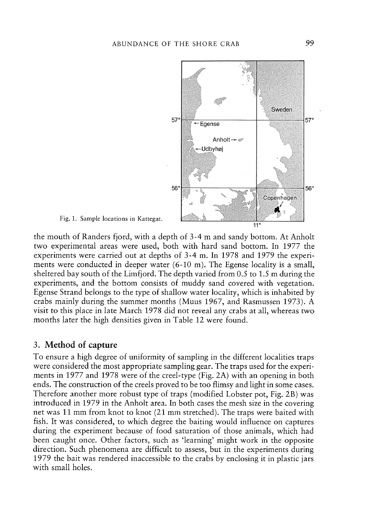

the mouth of Randers fjord, with <sup>a</sup> depth of 3-4 <sup>m</sup> and sandy bottom. At Anholt two experimental areas were used, both with hard sand bottom. In 1977 the experiments were carried out at depths of 3-4 m. In 1978 and 1979 the experi ments were conducted in deeper water (6-10 m). The Egense locality is <sup>a</sup> small, sheltered bay south of the Limfjord. The depth varied from 0.5 to 1.5 <sup>m</sup> during the experiments, and the bottom consists of muddy sand covered with vegetation. Egense Strand belongs to the type of shallow water locality, which is inhabited by crabs mainly during the summer months (Muus 1967, and Rasmussen 1973). A visit to this <sup>p</sup>lace in late March 1978 did not reveal any crabs at all, whereas two

months later the high densities given in Table 12 were found.

## 3. Method of capture

To ensure <sup>a</sup> high degree of uniformity of sampling in the different localities traps were considered the most appropriate sampling gear. The traps used for the experi ments in 1977 and 1978 were of the creel-type (Fig. 2A) with an opening in both ends. The construction of the creels proved to be too flimsy and light in some cases. Therefore another more robust type of traps (modified Lobster pot, Fig. 2B) was introduced in 1979 in the Anholt area. In both cases the mesh size in the covering net was 11 mm from knot to knot (21 mm stretched). The traps were baited with fish. It was considered, to which degree the baiting would influence on captures during the experiment because of food saturation of those animals, which had been caught once. Other factors, such as 'learning' might work in the opposite direction. Such phenomena are difficult to assess, but in the experiments during 1979 the bait was rendered inaccessible to the crabs by enclosing it in <sup>p</sup>lastic jars with small holes.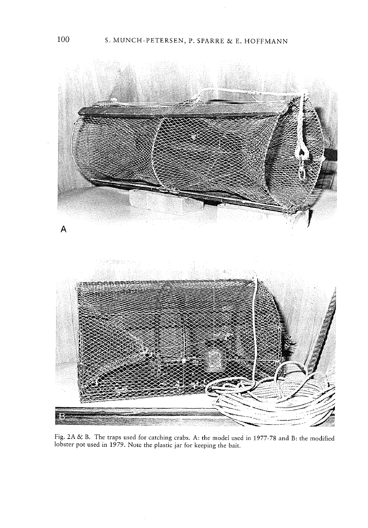

Fig. 2A & B. The traps used for catching crabs. A: the model used in 1977-78 and B: the modified lobster pot used in 1979. Note the plastic jar for keeping the bai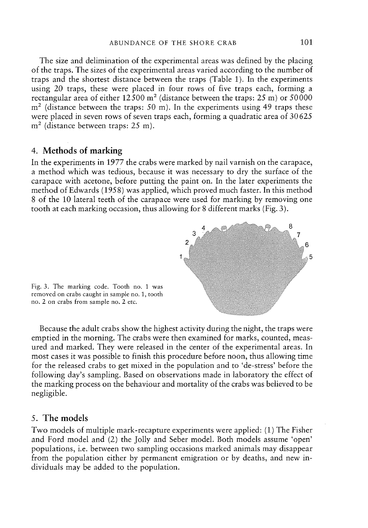The size and delimination of the experimental areas was defined by the placing of the traps. The sizes of the experimental areas varied according to the number of traps and the shortest distance between the traps (Table 1). In the experiments using 20 traps, these were placed in four rows of five traps each, forming <sup>a</sup> rectangular area of either  $12500 \text{ m}^2$  (distance between the traps: 25 m) or 50000  $m<sup>2</sup>$  (distance between the traps: 50 m). In the experiments using 49 traps these were placed in seven rows of seven traps each, forming <sup>a</sup> quadratic area of 30625 m<sup>2</sup> (distance between traps: 25 m).

### 4. Methods of marking

In the experiments in 1977 the crabs were marked by nail varnish on the carapace, <sup>a</sup> method which was tedious, because it was necessary to dry the surface of the carapace with acetone, before putting the paint on. In the later experiments the method of Edwards (1958) was applied, which proved much faster. In this method 8 of the 10 lateral teeth of the carapace were used for marking by removing one tooth at each marking occasion, thus allowing for 8 different marks (Fig. 3).



Fig. 3. The marking code. Tooth no. 1 was removed on crabs caught in sample no. 1, tooth no. 2 on crabs from sample no. 2 etc.

Because the adult crabs show the highest activity during the night, the traps were emptied in the morning. The crabs were then examined for marks, counted, meas ured and marked. They were released in the center of the experimental areas. In most cases it was possible to finish this procedure before noon, thus allowing time for the released crabs to ge<sup>t</sup> mixed in the population and to 'de-stress' before the following day's sampling. Based on observations made in laboratory the effect of the marking process on the behaviour and mortality of the crabs was believed to be negligible.

#### 5. The models

Two models of multiple mark-recapture experiments were applied: (1) The Fisher and Ford model and (2) the Jolly and Seber model. Both models assume 'open' populations, i.e. between two sampling occasions marked animals may disappear from the population either by permanen<sup>t</sup> emigration or by deaths, and new in dividuals may be added to the population.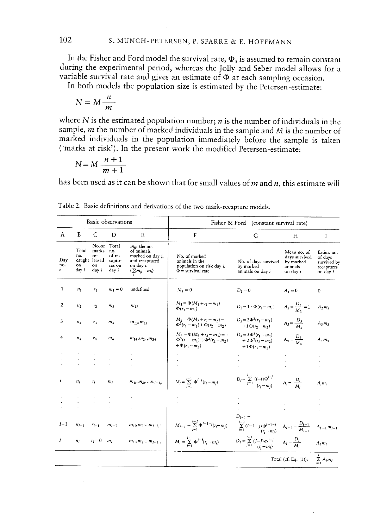In the Fisher and Ford model the survival rate,  $\Phi$ , is assumed to remain constant during the experimental period, whereas the Jolly and Seber model allows for <sup>a</sup> variable survival rate and gives an estimate of  $\Phi$  at each sampling occasion.

In both models the population size is estimated by the Petersen-estimate:

$$
N = M \frac{n}{m}
$$

where  $N$  is the estimated population number;  $n$  is the number of individuals in the sample,  $m$  the number of marked individuals in the sample and  $M$  is the number of marked individuals in the population immediately before the sample is taken ('marks at risk'). In the present work the modified Petersen-estimate:

$$
N = M \frac{n+1}{m+1}
$$

has been used as it can be shown that for small values of  $m$  and  $n$ , this estimate will

|                 |                                    |                                                              | Basic observations                                  |                                                                                                                      |                                                                                              | Fisher & Ford (constant survival rate)                                                                                       |                                                                         |                                                                      |
|-----------------|------------------------------------|--------------------------------------------------------------|-----------------------------------------------------|----------------------------------------------------------------------------------------------------------------------|----------------------------------------------------------------------------------------------|------------------------------------------------------------------------------------------------------------------------------|-------------------------------------------------------------------------|----------------------------------------------------------------------|
| A               | B                                  | C                                                            | D                                                   | E                                                                                                                    | F                                                                                            | G                                                                                                                            | H                                                                       | I                                                                    |
| Day<br>no.<br>i | Total<br>no.<br>on<br>day <i>i</i> | No.of<br>marks<br>re-<br>caught leased<br>on<br>day <i>i</i> | Total<br>no.<br>of re-<br>captu-<br>res on<br>day i | $m_{ii}$ : the no.<br>of animals<br>marked on day i.<br>and recaptured<br>on day <i>i</i> .<br>$(\sum m_{ii} = m_i)$ | No. of marked<br>animals in the<br>population on risk day i.<br>$\Phi$ = survival rate       | No. of days survived<br>by marked<br>animals on day i                                                                        | Mean no. of<br>days survived<br>by marked<br>animals<br>on day <i>i</i> | Estim. no.<br>of days<br>survived b<br>recaptures<br>on day <i>i</i> |
| 1               | n <sub>1</sub>                     | $r_1$                                                        | $m_1 = 0$                                           | undefined                                                                                                            | $M_1=0$                                                                                      | $D_1=0$                                                                                                                      | $A_1 = 0$                                                               | $\theta$                                                             |
| $\overline{2}$  | n <sub>2</sub>                     | r <sub>2</sub>                                               | m <sub>2</sub>                                      | $m_{12}$                                                                                                             | $M_2 = \Phi(M_1 + r_1 - m_1) =$<br>$\Phi(r_1-m_1)$                                           | $D_2 = 1 \cdot \Phi(r_1 - m_1)$                                                                                              | $A_2 = \frac{D_2}{M_2} = 1$                                             | $A_2m_2$                                                             |
| 3               | $n_3$                              | $r_3$                                                        | m <sub>1</sub>                                      | $m_{13}$ , $m_{23}$                                                                                                  | $M_3 = \Phi(M_2 + r_2 - m_2) =$<br>$\Phi^{2}(r_1-m_1)+\Phi(r_2-m_2)$                         | $D_3 = 2\Phi^2(r_1 - m_1)$<br>$+1\Phi(r_2-m_2)$                                                                              | $A_3 = \frac{D_3}{M_3}$                                                 | $A_1m_3$                                                             |
| 4               | $n_4$                              | $r_4$                                                        | $m_4$                                               | $m_{14}, m_{24}, m_{34}$                                                                                             | $M_4 = \Phi(M_3 + r_3 - m_3) =$ .<br>$\Phi^3(r_1-m_1)+\Phi^2(r_2-m_2)$<br>$+\Phi(r_3 - m_3)$ | $D_4 = 3\Phi^3(r_1 - m_1)$<br>+ $2\Phi^2(r_2 - m_2)$<br>$+1\Phi(r_3-m_3)$                                                    | $A_4 = \frac{D_4}{M_1}$                                                 | $A_4 m_4$                                                            |
|                 |                                    |                                                              |                                                     |                                                                                                                      |                                                                                              |                                                                                                                              |                                                                         |                                                                      |
|                 |                                    |                                                              |                                                     |                                                                                                                      |                                                                                              |                                                                                                                              |                                                                         |                                                                      |
| i               | $n_i$                              | $r_i$                                                        | $m_i$                                               | $m_{1i}, m_{2i},  m_{i-1i}$                                                                                          | $M_i = \sum_{i=1}^{i-1} \Phi^{i-j} (r_i - m_i)$                                              | $D_i = \sum_{j=1}^{i-1} \frac{(i-j) \Phi^{i-j}}{(r_i - m_j)}$                                                                | $A_i = \frac{D_i}{M_i}$                                                 | $A_i m_i$                                                            |
|                 |                                    |                                                              |                                                     |                                                                                                                      |                                                                                              |                                                                                                                              |                                                                         |                                                                      |
|                 |                                    |                                                              |                                                     |                                                                                                                      |                                                                                              |                                                                                                                              |                                                                         |                                                                      |
|                 |                                    |                                                              |                                                     |                                                                                                                      |                                                                                              | $D_{l-1} =$                                                                                                                  |                                                                         |                                                                      |
| $1 - 1$         | $n_{l-1}$                          | $r_{l-1}$                                                    | $m_{l-1}$                                           | $m_{1i}, m_{2i}m_{i-2,i}$                                                                                            | $M_{l-1} = \sum_{j=1}^{l-2} \Phi^{l-1-j}(r_j - m_j)$                                         | $\sum_{j=1}^{l-2} (l-1-j) \Phi^{l-1-j}_{\left(r_i-m_j\right)} \quad A_{l-1} = \frac{D_{l-1}}{M_{l-1}} \quad A_{l-1} m_{l-1}$ |                                                                         |                                                                      |
| I               | n <sub>I</sub>                     | $r_i = 0$                                                    | m <sub>1</sub>                                      | $m_{1i}, m_{2i}m_{l-1}$ ;                                                                                            | $M_l = \sum_{i=1}^{l-1} \Phi^{l-j}(r_j - m_j)$                                               | $D_I = \sum_{j=1}^{I-1} (I-j) \Phi^{I-j}$ $A_I = \frac{D_I}{M_I}$                                                            |                                                                         | $A_1m_1$                                                             |
|                 |                                    |                                                              |                                                     |                                                                                                                      |                                                                                              |                                                                                                                              | Total (cf. Eq. $(1)$ ):                                                 | $\sum_i A_i m_i$                                                     |

Table 2. Basic definitions and derivations of the two mark-recapture models.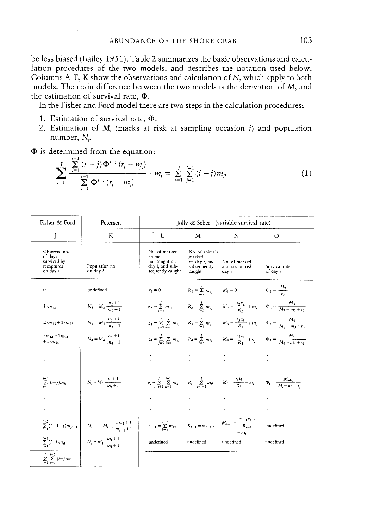be less biased (Bailey 1951). Table 2 summarizes the basic observations and calcu lation procedures of the two models, and describes the notation used below. Columns A-E, <sup>K</sup> show the observations and calculation of N, which apply to both models. The main difference between the two models is the derivation of M, and the estimation of survival rate,  $\Phi$ .

In the Fisher and Ford model there are two steps in the calculation procedures:

- 1. Estimation of survival rate,  $\Phi$ .
- 2. Estimation of  $M_i$  (marks at risk at sampling occasion i) and population number, N.

 $\Phi$  is determined from the equation:

$$
\sum_{i=1}^{I} \frac{\sum_{j=1}^{I} (i-j) \Phi^{i-j} (r_j - m_j)}{\sum_{j=1}^{I-1} \Phi^{i-j} (r_j - m_j)} \cdot m_j = \sum_{i=1}^{I} \sum_{j=1}^{I-1} (i-j) m_{ji}
$$
(1)

| Fisher & Ford                                                    | Petersen                                        |                                                                                          |                                                                             | Jolly & Seber (variable survival rate)                                                                                                                        |                                                                                                                                                     |
|------------------------------------------------------------------|-------------------------------------------------|------------------------------------------------------------------------------------------|-----------------------------------------------------------------------------|---------------------------------------------------------------------------------------------------------------------------------------------------------------|-----------------------------------------------------------------------------------------------------------------------------------------------------|
| J                                                                | K                                               | L                                                                                        | M                                                                           | N                                                                                                                                                             | $\Omega$                                                                                                                                            |
| Observed no.<br>of days<br>survived by<br>recaptures<br>on day i | Population no.<br>on dav <i>i</i>               | No. of marked<br>animals<br>not caught on<br>day <i>i</i> , and sub-<br>sequently caught | No. of animals<br>marked<br>on day <i>i</i> , and<br>subsequently<br>caught | No. of marked<br>animals on risk<br>day i                                                                                                                     | Survival rate<br>of day i                                                                                                                           |
| $\mathbf{0}$                                                     | undefined                                       | $z_1 = 0$ $R_1 = \sum_{i=1}^{I} m_{1i}$ $M_1 = 0$                                        |                                                                             |                                                                                                                                                               | $\Phi_1 = \frac{M_2}{r_2}$                                                                                                                          |
| $1 \cdot m_1$                                                    | $N_2 = M_2 \frac{n_2+1}{m_2+1}$                 |                                                                                          |                                                                             |                                                                                                                                                               | $z_2 = \sum_{i=1}^{l} m_{1i}$ $R_2 = \sum_{i=1}^{l} m_{2i}$ $M_2 = \frac{r_2 z_2}{R_2} + m_2$ $\Phi_2 = \frac{M_3}{M_2 - m_2 + r_1}$                |
| $2 \cdot m_{12} + 1 \cdot m_{23}$                                | $N_3 = M_3 \frac{n_3+1}{m_2+1}$                 |                                                                                          |                                                                             |                                                                                                                                                               | $z_3 = \sum_{i=4}^{1} \sum_{b=1}^{2} m_{kj}$ $R_3 = \sum_{i=4}^{1} m_{3i}$ $M_3 = \frac{r_3 z_3}{R_2} + m_3$ $\Phi_3 = \frac{M_4}{M_2 - m_2 + r_2}$ |
| $3m_{14} + 2m_{24}$<br>$+1 \cdot m_{34}$                         | $N_4 = M_4 \frac{n_4+1}{m_4+1}$                 |                                                                                          |                                                                             |                                                                                                                                                               | $z_4 = \sum_{i=5}^{1} \sum_{h=1}^{3} m_{kj}$ $R_4 = \sum_{i=5}^{1} m_{4j}$ $M_4 = \frac{r_4 z_4}{R_4} + m_4$ $\Phi_4 = \frac{M_5}{M_4 - m_4 + r_4}$ |
|                                                                  |                                                 |                                                                                          |                                                                             |                                                                                                                                                               |                                                                                                                                                     |
| $\sum_{i=1}^{i-1} (i-j)m_{ji}$                                   | $N_i = M_i \frac{n_i+1}{m_i+1}$                 |                                                                                          |                                                                             | $z_i = \sum_{i=i+1}^{l} \sum_{h=1}^{i-1} m_{kj}$ $R_i = \sum_{i=i+1}^{l} m_{ij}$ $M_i = \frac{r_i z_i}{R_i} + m_i$ $\Phi_i = \frac{M_{i+1}}{M_i - m_i + r_i}$ |                                                                                                                                                     |
|                                                                  |                                                 |                                                                                          |                                                                             |                                                                                                                                                               |                                                                                                                                                     |
| $\sum_{i=1}^{l-2} (l-1-i)m_{jl-1}$                               | $N_{l-1} = M_{l-1} \frac{n_{l-1}+1}{m_{l-1}+1}$ |                                                                                          |                                                                             | $z_{l-1} = \sum_{j=1}^{l-2} m_{kl}$ $R_{l-1} = m_{l-1,l}$ $M_{l-1} = \frac{r_{l-1}z_{l-1}}{R_{l-1}}$<br>$+ m_{l-1}$                                           | undefined                                                                                                                                           |
| $\sum_{j=1}^{l-1} (I-j)m_{jl}$                                   | $N_l = M_l \frac{m_l+1}{m_l+1}$                 | undefined                                                                                | undefined                                                                   | undefined                                                                                                                                                     | undefined                                                                                                                                           |
| $\sum_{i=1}^I \sum_{i=1}^{i-1} (i-j)m_{ji}$                      |                                                 |                                                                                          |                                                                             |                                                                                                                                                               |                                                                                                                                                     |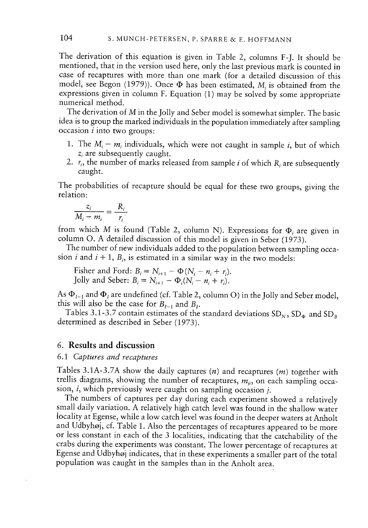The derivation of this equation is <sup>g</sup>iven in Table 2, columns F-J. It should be mentioned, that in the version used here, only the last previous mark is counted in case of recaptures with more than one mark (for <sup>a</sup> detailed discussion of this model, see Begon (1979)). Once  $\Phi$  has been estimated, M<sub>i</sub> is obtained from the expressions <sup>g</sup>iven in column F. Equation (1) may be solved by some appropriate numerical method.

The derivation of <sup>M</sup> in the Jolly and Seber model is somewhat simpler. The basic idea is to group the marked individuals in the population immediately after sampling  $occasion$  *i* into two groups:

- 1. The  $M_i m_i$  individuals, which were not caught in sample *i*, but of which  $z_i$  are subsequently caught.
- 2.  $r_i$ , the number of marks released from sample i of which R, are subsequently caught.

The probabilities of recapture should be equa<sup>l</sup> for these two groups, <sup>g</sup>iving the relation:

$$
\frac{z_i}{M_i-m_i}=\frac{R_i}{r_i}
$$

from which M is found (Table 2, column N). Expressions for  $\Phi_i$  are given in column 0. <sup>A</sup> detailed discussion of this model is <sup>g</sup>iven in Seber (1973).

The number of new individuals added to the population between sampling occa sion *i* and  $i + 1$ ,  $B_i$ , is estimated in a similar way in the two models:

Fisher and Ford:  $B_i = N_{i+1} - \Phi(N_i - n_i + r_i)$ . Jolly and Seber:  $B_i = N_{i+1} - \Phi_i (N_i - n_i + r_i)$ .

As  $\Phi_{I-1}$  and  $\Phi_{I}$  are undefined (cf. Table 2, column O) in the Jolly and Seber model, this will also be the case for  $B_{1-1}$  and  $B_1$ .

Tables 3.1-3.7 contain estimates of the standard deviations  $SD<sub>N</sub>$ ,  $SD<sub>\phi</sub>$  and  $SD<sub>B</sub>$ determined as described in Seber (1973).

#### 6. Results and discussion

#### 6.1 Captures and recaptures

Tables 3.1A-3.7A show the daily captures  $(n)$  and recaptures  $(m)$  together with trellis diagrams, showing the number of recaptures,  $m_{ji}$ , on each sampling occasion, *i*, which previously were caught on sampling occasion *j*.

The numbers of captures per day during each experiment showed a relatively small daily variation. <sup>A</sup> relatively high catch level was found in the shallow water locality at Egense, while <sup>a</sup> low catch level was found in the deeper waters at Anholt and Udbyhøj, cf. Table 1. Also the percentages of recaptures appeared to be more or less constant in each of the <sup>3</sup> localities, indicating that the catchability of the crabs during the experiments was constant. The lower percentage of recaptures at Egense and Udbyhøj indicates, that in these experiments <sup>a</sup> smaller part of the total population was caught in the samples than in the Anholt area.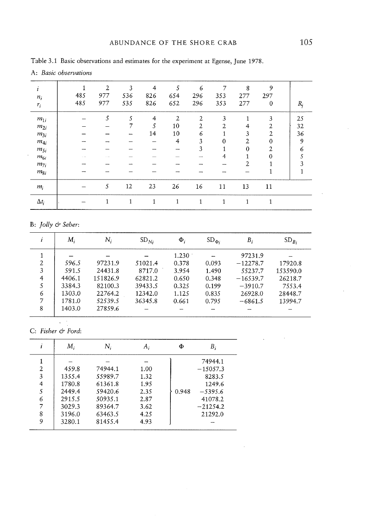| $\mathbf{1}$ |     | $\overline{2}$ | 3            | $\overline{4}$ | 5   | 6   | 7        | 8              | 9                |       |
|--------------|-----|----------------|--------------|----------------|-----|-----|----------|----------------|------------------|-------|
| $n_i$        | 485 | 977            | 536          | 826            | 654 | 296 | 353      | 277            | 297              |       |
| $r_i$        | 485 | 977            | 535          | 826            | 652 | 296 | 353      | 277            | $\boldsymbol{0}$ | $R_j$ |
| $m_{1i}$     |     | 5              | 5            | $\overline{4}$ | 2   | 2   | 3        |                | 3                | 25    |
| $m_{2i}$     |     |                |              | 5              | 10  | 2   | 2        | 4              | 2                | 32    |
| $m_{3i}$     |     |                |              | 14             | 10  | 6   |          | 3              | $\overline{2}$   | 36    |
| $m_{4i}$     |     |                |              |                | 4   | 3   | $\Omega$ | $\overline{2}$ | 0                | 9     |
| $m_{5i}$     |     |                |              |                |     | 3   |          | 0              | 2                | 6     |
| $m_{6i}$     |     |                |              |                |     |     | 4        |                | 0                | 5     |
| $m_{7i}$     |     |                |              |                |     |     |          | 2              |                  | 3     |
| $m_{8i}$     |     |                |              |                |     |     |          |                |                  |       |
| $m_i$        |     | 5              | 12           | 23             | 26  | 16  | 11       | 13             | 11               |       |
| $\Delta t_i$ |     | 1              | $\mathbf{1}$ | 1              | 1   | 1   | 1        | и              | 1                |       |
|              |     |                |              |                |     |     |          |                |                  |       |

Table 3.1 Basic observations and estimates for the experiment at Egense, June 1978.

A: Basic observations

#### B: Jolly & Seber:

|                | М,     | Ν,       | $SD_{Ni}$ | $\Phi_i$ | $SD_{\Phi i}$ | $B_i$      | $SD_{B_i}$ |
|----------------|--------|----------|-----------|----------|---------------|------------|------------|
| 1              |        |          |           | 1.230    |               | 97231.9    |            |
| $\overline{2}$ | 596.5  | 97231.9  | 51021.4   | 0.378    | 0.093         | $-12278.7$ | 17920.8    |
| 3              | 591.5  | 24431.8  | 8717.0    | 3.954    | 1.490         | 55237.7    | 153590.0   |
| $\overline{4}$ | 4406.1 | 151826.9 | 62821.2   | 0.650    | 0.348         | $-16539.7$ | 26218.7    |
| 5              | 3384.3 | 82100.3  | 39433.5   | 0.325    | 0.199         | $-3910.7$  | 7553.4     |
| 6              | 1303.0 | 22764.2  | 12342.0   | 1.125    | 0.835         | 26928.0    | 28448.7    |
| 7              | 1781.0 | 52539.5  | 36345.8   | 0.661    | 0.795         | $-6861.5$  | 13994.7    |
| 8              | 1403.0 | 27859.6  |           |          |               |            |            |

 $\ddot{\phantom{a}}$ C: Fisher & Ford:

|                | М,     | Ν,      | $A_i$ | Φ     | В;         |
|----------------|--------|---------|-------|-------|------------|
|                |        |         |       |       | 74944.1    |
| $\overline{2}$ | 459.8  | 74944.1 | 1.00  |       | $-15057.3$ |
| 3              | 1355.4 | 55989.7 | 1.32  |       | 8283.5     |
| 4              | 1780.8 | 61361.8 | 1.95  |       | 1249.6     |
| 5              | 2449.4 | 59420.6 | 2.35  | 0.948 | $-5395.6$  |
| 6              | 2915.5 | 50935.1 | 2.87  |       | 41078.2    |
| 7              | 3029.3 | 89364.7 | 3.62  |       | $-21254.2$ |
| 8              | 3196.0 | 63463.5 | 4.25  |       | 21292.0    |
| 9              | 3280.1 | 81455.4 | 4.93  |       |            |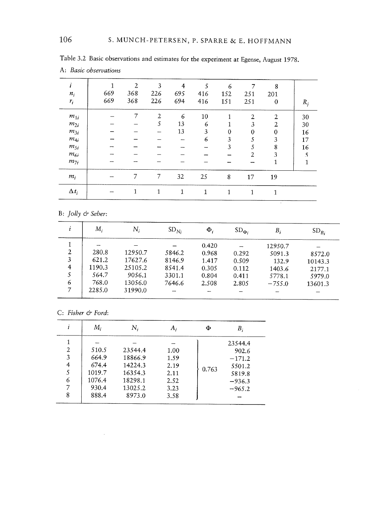| i<br>$n_i$<br>$r_i$ | 1<br>669<br>669 | $\overline{2}$<br>368<br>368 | 3<br>226<br>226 | 4<br>695<br>694 | 5<br>416<br>416 | 6<br>152<br>151 | 7<br>251<br>251 | 8<br>201<br>$\mathbf{0}$ | $R_j$ |
|---------------------|-----------------|------------------------------|-----------------|-----------------|-----------------|-----------------|-----------------|--------------------------|-------|
| $m_{1i}$            |                 | 7                            | 2               | 6               | 10              |                 | $\overline{2}$  | $\overline{2}$           | 30    |
| $m_{2i}$            |                 |                              | 5               | 13              | 6               |                 | 3               | $\overline{2}$           | 30    |
| $m_{3i}$            |                 |                              |                 | 13              | 3               | $\Omega$        | 0               | $\theta$                 | 16    |
| $m_{4i}$            |                 |                              |                 |                 | 6               | 3               | 5               | 3                        | 17    |
| $m_{5i}$            |                 |                              |                 |                 |                 | 3               | 5               | 8                        | 16    |
| $m_{6i}$            |                 |                              |                 |                 |                 |                 | 2               | 3                        | 5     |
| $m_{7i}$            |                 |                              |                 |                 |                 |                 |                 | 1                        |       |
| $m_i$               |                 | 7                            | 7               | 32              | 25              | 8               | 17              | 19                       |       |
| $\Delta t_i$        |                 | 1                            | 1               | 1               | 1               | 1               | 1               | 1                        |       |

| Table 3.2 Basic observations and estimates for the experiment at Egense, August 1978. |  |  |  |
|---------------------------------------------------------------------------------------|--|--|--|
| A: Basic observations                                                                 |  |  |  |

|   | $M_i$  | Ν,      | SD <sub>Ni</sub> | $\Phi_i$ | $SD_{\Phi_i}$ | $B_i$    | $SD_{B_i}$ |
|---|--------|---------|------------------|----------|---------------|----------|------------|
|   |        |         |                  | 0.420    |               | 12950.7  |            |
| 2 | 280.8  | 12950.7 | 5846.2           | 0.968    | 0.292         | 5091.3   | 8572.0     |
| 3 | 621.2  | 17627.6 | 8146.9           | 1.417    | 0.509         | 132.9    | 10143.3    |
| 4 | 1190.3 | 25105.2 | 8541.4           | 0.305    | 0.112         | 1403.6   | 2177.1     |
|   | 564.7  | 9056.1  | 3301.1           | 0.804    | 0.411         | 5778.1   | 5979.0     |
| 6 | 768.0  | 13056.0 | 7646.6           | 2.508    | 2.805         | $-755.0$ | 13601.3    |
|   | 2285.0 | 31990.0 |                  |          |               |          |            |

C: Fisher & Ford:

 $\sim 10^{11}$ 

|   | $M_i$  | Ν,      |      | Φ     | Β,       |
|---|--------|---------|------|-------|----------|
|   |        |         |      |       | 23544.4  |
| 2 | 510.5  | 23544.4 | 1.00 |       | 902.6    |
| 3 | 664.9  | 18866.9 | 1.59 |       | $-171.2$ |
| 4 | 674.4  | 14224.3 | 2.19 |       | 5501.2   |
| 5 | 1019.7 | 16354.3 | 2.11 | 0.763 | 5819.8   |
| 6 | 1076.4 | 18298.1 | 2.52 |       | $-936.3$ |
|   | 930.4  | 13025.2 | 3.23 |       | $-965.2$ |
| 8 | 888.4  | 8973.0  | 3.58 |       |          |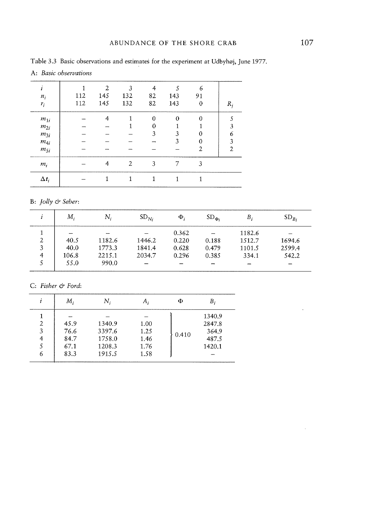$\ddot{\phantom{a}}$ 

|                       |  | Table 3.3 Basic observations and estimates for the experiment at Udbyhøj, June 1977. |
|-----------------------|--|--------------------------------------------------------------------------------------|
| A: Basic observations |  |                                                                                      |

|              |     | $\mathfrak{2}$ | 3   | 4        | 5        | 6        |    |
|--------------|-----|----------------|-----|----------|----------|----------|----|
| $n_i$        | 112 | 145            | 132 | 82       | 143      | 91       |    |
| $r_i$        | 112 | 145            | 132 | 82       | 143      | $\theta$ | R, |
| $m_{1i}$     |     | 4              |     | $\Omega$ | $\theta$ | $\Omega$ |    |
| $m_{2i}$     |     |                |     | 0        |          |          |    |
| $m_{3i}$     |     |                |     | 3        | 3        | 0        | 6  |
| $m_{4i}$     |     |                |     |          | 3        | 0        | 3  |
| $m_{5i}$     |     |                |     |          |          | 2        | 2  |
| $m_i$        |     | 4              | 2   | 3        | 7        | 3        |    |
| $\Delta t_i$ |     |                |     |          |          |          |    |

# B: Jolly & Seber:

|   | Μ.    | Ν.     | $SD_{N_i}$ | $\Phi_i$ | $SD_{\Phi_i}$            | Β,                       | $SD_{B_i}$ |
|---|-------|--------|------------|----------|--------------------------|--------------------------|------------|
|   | -     |        |            | 0.362    |                          | 1182.6                   |            |
| 2 | 40.5  | 1182.6 | 1446.2     | 0.220    | 0.188                    | 1512.7                   | 1694.6     |
|   | 40.0  | 1773.3 | 1841.4     | 0.628    | 0.479                    | 1101.5                   | 2599.4     |
| 4 | 106.8 | 2215.1 | 2034.7     | 0.296    | 0.385                    | 334.1                    | 542.2      |
|   | 55.0  | 990.0  |            |          | $\overline{\phantom{0}}$ | $\overline{\phantom{a}}$ |            |

C: Fisher & Ford:

|                | М,   | Ν,     | А,   | Φ     | В.     |
|----------------|------|--------|------|-------|--------|
|                |      |        |      |       | 1340.9 |
| $\overline{2}$ | 45.9 | 1340.9 | 1.00 |       | 2847.8 |
| 3              | 76.6 | 3397.6 | 1.25 |       | 364.9  |
| 4              | 84.7 | 1758.0 | 1.46 | 0.410 | 487.5  |
|                | 67.1 | 1208.3 | 1.76 |       | 1420.1 |
| 6              | 83.3 | 1915.5 | 1.58 |       |        |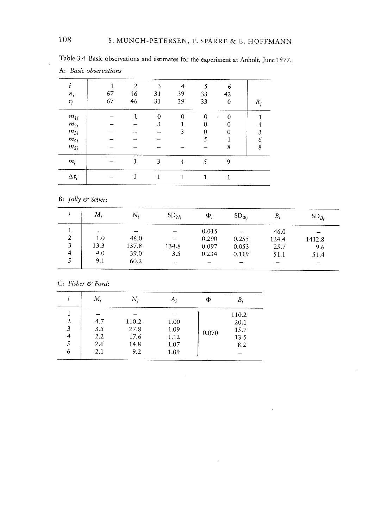|              |    | $\overline{2}$ | 3                 | 4        |          | 6        |       |
|--------------|----|----------------|-------------------|----------|----------|----------|-------|
| $n_i$        | 67 | 46             | 31                | 39       | 33       | 42       |       |
| $r_i$        | 67 | 46             | 31                | 39       | 33       | 0        | $R_i$ |
| $m_{1i}$     |    |                | $\ddot{\text{o}}$ | $\theta$ | $\theta$ | $\Omega$ |       |
| $m_{2i}$     |    |                | 3                 |          |          |          |       |
| $m_{3i}$     |    |                |                   | 3        | 0        | U        | 3     |
| $m_{4i}$     |    |                |                   |          | 5        |          | 6     |
| $m_{5i}$     |    |                |                   |          |          | 8        | 8     |
| $m_i$        |    | 1              | 3                 | 4        | 5        | 9        |       |
| $\Delta t_i$ |    |                |                   | 1        | 1        |          |       |

Table 3.4 Basic observations and estimates for the experiment at Anholt, June 1977. A: Basic observations

| $M_i$                    | Ν,    | SD <sub>Ni</sub> | $\Phi_i$ | $SD_{\Phi_i}$ | $B_i$ | $SD_{Bi}$ |
|--------------------------|-------|------------------|----------|---------------|-------|-----------|
| $\overline{\phantom{0}}$ |       |                  | 0.015    |               | 46.0  |           |
| 1.0                      | 46.0  |                  | 0.290    | 0.255         | 124.4 | 1412.8    |
| 13.3                     | 137.8 | 134.8            | 0.097    | 0.053         | 25.7  | 9.6       |
| 4.0                      | 39.0  | 3.5              | 0.234    | 0.119         | 51.1  | 51.4      |
| 9.1                      | 60.2  |                  |          |               |       | -         |
|                          |       |                  |          |               |       |           |

C: Fisher & Ford:

|        | М,         | Ν.            | h;           | Φ     | B            |
|--------|------------|---------------|--------------|-------|--------------|
|        |            |               |              |       | 110.2        |
| 2<br>3 | 4.7<br>3.5 | 110.2<br>27.8 | 1.00<br>1.09 |       | 20.1<br>15.7 |
|        | 2.2        | 17.6          | 1.12         | 0.070 | 13.5         |
|        | 2.6        | 14.8          | 1.07         |       | 8.2          |
| 6      | 2.1        | 9.2           | 1.09         |       |              |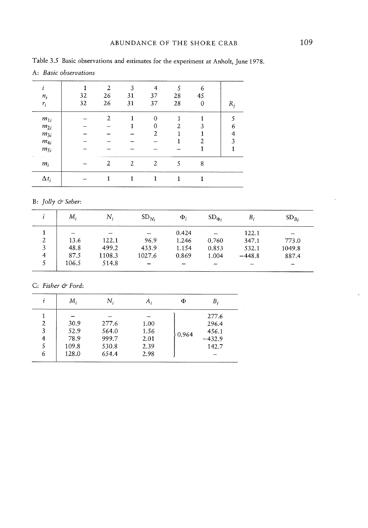|              | A: Basic observations |                |    |                |    |    |       |  |  |  |
|--------------|-----------------------|----------------|----|----------------|----|----|-------|--|--|--|
|              |                       | $\overline{2}$ | 3  |                | ٢  | 6  |       |  |  |  |
| $n_i$        | 32                    | 26             | 31 | 37             | 28 | 45 |       |  |  |  |
| $r_i$        | 32                    | 26             | 31 | 37             | 28 | 0  | $R_i$ |  |  |  |
| $m_{1i}$     |                       | 2              |    | $\mathbf 0$    |    |    |       |  |  |  |
| $m_{2i}$     |                       |                |    | 0              | 2  | 3  | 6     |  |  |  |
| $m_{3i}$     |                       |                |    | 2              |    |    | 4     |  |  |  |
| $m_{4i}$     |                       |                |    |                |    | 2  | ٩     |  |  |  |
| $m_{5i}$     |                       |                |    |                |    |    |       |  |  |  |
| $m_i$        |                       | $\overline{2}$ | 2  | $\overline{2}$ | 5  | 8  |       |  |  |  |
| $\Delta t_i$ |                       |                |    |                | 1  |    |       |  |  |  |

Table 3.5 Basic observations and estimates for the experiment at Anholt, June 1978.

| М,    | $N_i$  | $SD_{Ni}$ | $\Phi_i$ | $SD_{\Phi_i}$ | Β,       | $SD_{B_i}$               |
|-------|--------|-----------|----------|---------------|----------|--------------------------|
|       |        |           | 0.424    | $\sim$        | 122.1    | $\overline{\phantom{0}}$ |
| 13.6  | 122.1  | 96.9      | 1.246    | 0.760         | 347.1    | 773.0                    |
| 48.8  | 499.2  | 433.9     | 1.154    | 0.853         | 532.1    | 1049.8                   |
| 87.5  | 1108.3 | 1027.6    | 0.869    | 1.004         | $-448.8$ | 887.4                    |
| 106.5 | 514.8  |           |          |               |          | ---                      |
|       |        |           |          |               |          |                          |

C: Fisher & Ford:

|   | М,    | Ν,    | А,   | Φ     | Β,       |
|---|-------|-------|------|-------|----------|
|   |       |       |      |       | 277.6    |
| 2 | 30.9  | 277.6 | 1.00 |       | 296.4    |
| 3 | 52.9  | 564.0 | 1.56 | 0.964 | 456.1    |
| 4 | 78.9  | 999.7 | 2.01 |       | $-432.9$ |
|   | 109.8 | 530.8 | 2.39 |       | 142.7    |
| 6 | 128.0 | 654.4 | 2.98 |       |          |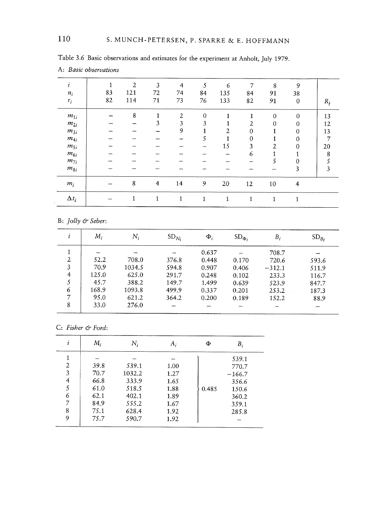| ı            | 1  | $\overline{2}$ | $\overline{3}$ | 4  | 5           | 6              | 7        | 8            | 9                |       |
|--------------|----|----------------|----------------|----|-------------|----------------|----------|--------------|------------------|-------|
| $n_i$        | 83 | 121            | 72             | 74 | 84          | 135            | 84       | 91           | 38               |       |
| $r_i$        | 82 | 114            | 71             | 73 | 76          | 133            | 82       | 91           | $\boldsymbol{0}$ | $R_i$ |
| $m_{1i}$     |    | 8              | 1              | 2  | $\mathbf 0$ | 1              | 1        | $\mathbf{0}$ | $\Omega$         | 13    |
| $m_{2i}$     |    |                | 3              | 3  | 3           |                | 2        | $\theta$     | 0                | 12    |
| $m_{3i}$     |    |                |                | 9  | 1           | $\overline{2}$ | 0        |              | 0                | 13    |
| $m_{4i}$     | -  |                |                |    | 5           | 1              | $\theta$ |              | $\boldsymbol{0}$ | 7     |
| $m_{5i}$     |    |                |                |    |             | 15             | 3        | 2            | 0                | 20    |
| $m_{6i}$     |    |                |                |    |             | -              | 6        |              |                  | 8     |
| $m_{7i}$     |    |                |                |    |             |                | -        | 5            | 0                |       |
| $m_{8i}$     |    |                |                |    |             |                |          |              | 3                | 3     |
| $m_i$        |    | 8              | 4              | 14 | 9           | 20             | 12       | 10           | 4                |       |
| $\Delta t_i$ |    | 1              | $\mathbf{1}$   | 1  | 1           | 1              | 1        | 1            | 1                |       |

Table 3.6 Basic observations and estimates for the experiment at Anholt, July 1979.

| 1              | М.    | $N_i$                    | SD <sub>Ni</sub> | $\Phi_i$ | $SD_{\Phi_i}$ | Β,       | $SD_{B_i}$ |
|----------------|-------|--------------------------|------------------|----------|---------------|----------|------------|
|                |       | $\overline{\phantom{a}}$ |                  | 0.637    |               | 708.7    |            |
| 2              | 52.2  | 708.0                    | 376.8            | 0.448    | 0.170         | 720.6    | 593.6      |
| 3              | 70.9  | 1034.5                   | 594.8            | 0.907    | 0.406         | $-312.1$ | 511.9      |
| $\overline{4}$ | 125.0 | 625.0                    | 291.7            | 0.248    | 0.102         | 233.3    | 116.7      |
|                | 45.7  | 388.2                    | 149.7            | 1.499    | 0.639         | 523.9    | 847.7      |
| 6              | 168.9 | 1093.8                   | 499.9            | 0.337    | 0.201         | 253.2    | 187.3      |
| 7              | 95.0  | 621.2                    | 364.2            | 0.200    | 0.189         | 152.2    | 88.9       |
| 8              | 33.0  | 276.0                    |                  |          |               |          |            |

|  | C: Fisher & Ford |  |  |
|--|------------------|--|--|
|--|------------------|--|--|

| i              | М.   | Ν,     | A,   | Φ     | Β,       |
|----------------|------|--------|------|-------|----------|
|                |      |        |      |       | 539.1    |
| $\overline{2}$ | 39.8 | 539.1  | 1.00 |       | 770.7    |
| 3              | 70.7 | 1032.2 | 1.27 |       | $-166.7$ |
| 4              | 66.8 | 333.9  | 1.65 |       | 356.6    |
| 5              | 61.0 | 518.5  | 1.88 | 0.485 | 150.6    |
| 6              | 62.1 | 402.1  | 1.89 |       | 360.2    |
| 7              | 84.9 | 555.2  | 1.67 |       | 359.1    |
| 8              | 75.1 | 628.4  | 1.92 |       | 285.8    |
| 9              | 75.7 | 590.7  | 1.92 |       |          |

A: Basic observations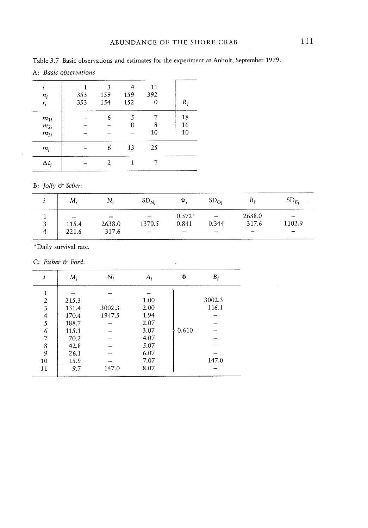| i<br>$n_i$<br>$r_i$              | 353<br>353 | 3<br>159<br>154 | 4<br>159<br>152 | 11<br>392<br>0 | $R_{i}$        |
|----------------------------------|------------|-----------------|-----------------|----------------|----------------|
| $m_{1i}$<br>$m_{2i}$<br>$m_{3i}$ |            | 6               | 5<br>8          | 8<br>10        | 18<br>16<br>10 |
| $m_i$                            |            | 6               | 13              | 25             |                |
| $\Delta t_i$                     |            | 2               |                 |                |                |

B: Jolly & Seber:

 $\bar{\alpha}$ 

| М.                                         | Ν.                                          | $SD_{Ni}$ | $\Phi$                 | $SD_{\Phi_i}$ | Β.                                   | $SD_{B_i}$ |
|--------------------------------------------|---------------------------------------------|-----------|------------------------|---------------|--------------------------------------|------------|
| $\overline{\phantom{0}}$<br>115.4<br>221.6 | $\overline{\phantom{a}}$<br>2638.0<br>317.6 | 1370.5    | $0.572*$<br>0.841<br>– | 0.344<br>_    | 2638.0<br>317.6<br><b>CONTRACTOR</b> | 1102.9     |

 $\sim 10^{-11}$ 

'Daily survival rate.

C: Fisher & Ford:

|                | $M_i$ | $N_i$  | А,   | Ф     | $B_i$  |
|----------------|-------|--------|------|-------|--------|
|                |       |        |      |       |        |
| $\overline{2}$ | 215.3 |        | 1.00 |       | 3002.3 |
| 3              | 131.4 | 3002.3 | 2.00 |       | 116.1  |
| 4              | 170.4 | 1947.5 | 1.94 |       |        |
| 5              | 188.7 |        | 2.07 |       |        |
| 6              | 115.1 |        | 3.07 | 0.610 |        |
| 7              | 70.2  |        | 4.07 |       |        |
| 8              | 42.8  |        | 5.07 |       |        |
| 9              | 26.1  |        | 6.07 |       |        |
| 10             | 15.9  |        | 7.07 |       | 147.0  |
| 11             | 9.7   | 147.0  | 8.07 |       |        |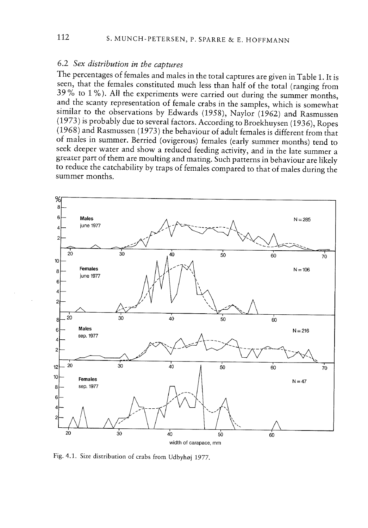# 6.2 Sex distribution in the captures

The percentages of females and males in the total captures are <sup>g</sup>iven in Table 1. It is seen, that the females constituted much less than half of the total (ranging from 39% to <sup>1</sup> %). All the experiments were carried out during the summer months, and the scanty representation of female crabs in the samples, which is somewhat similar to the observations by Edwards (1958), Naylor (1962) and Rasmussen (1973) is probably due to several factors. According to Broekhuysen (1936), Ropes (1968) and Rasmussen (1973) the behaviour of adult females is different from that of males in summer. Berried (ovigerous) females (early summer months) tend to seek deeper water and show <sup>a</sup> reduced feeding activity, and in the late summer <sup>a</sup> greater part of them are moulting and mating. Such patterns in behaviour are likely to reduce the catchability by traps of females compared to that of males during the summer months.



Fig. 4.1. Size distribution of crabs from Udbyhøj 1977.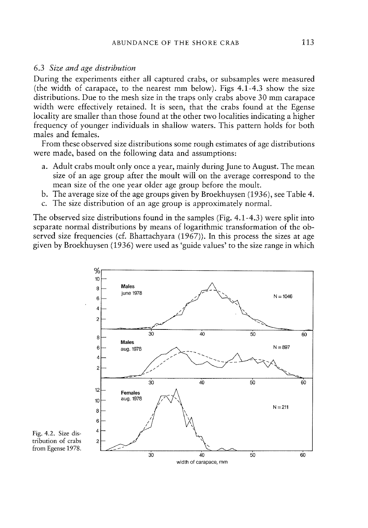#### 6.3 Size and age distribution

During the experiments either all captured crabs, or subsamples were measured (the width of carapace, to the nearest mm below). Figs 4.1-4.3 show the size distributions. Due to the mesh size in the traps only crabs above 30 mm carapace width were effectively retained. It is seen, that the crabs found at the Egense locality are smaller than those found at the other two localities indicating <sup>a</sup> higher frequency of younger individuals in shallow waters. This pattern holds for both males and females.

From these observed size distributions some rough estimates of age distributions were made, based on the following data and assumptions:

- a. Adult crabs moult only once <sup>a</sup> year, mainly during June to August. The mean size of an age group after the moult will on the average correspond to the mean size of the one year older age group before the moult.
- b. The average size of the age groups given by Broekhuysen (1936), see Table 4.
- c. The size distribution of an age group is approximately normal.

The observed size distributions found in the samples (Fig. 4.1-4.3) were split into separate normal distributions by means of logarithmic transformation of the ob served size frequencies (cf. Bhattachyara (1967)). In this process the sizes at age given by Broekhuysen (1936) were used as 'guide values' to the size range in which



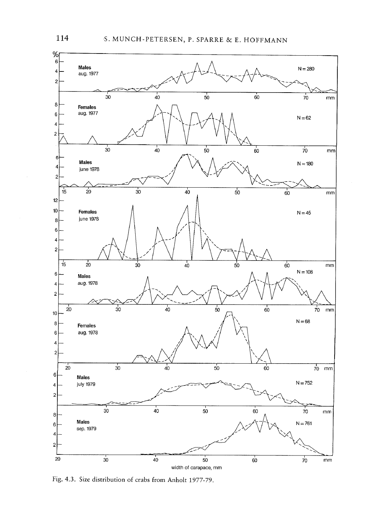

Fig. 4.3. Size distribution of crabs from Anholt 1977-79.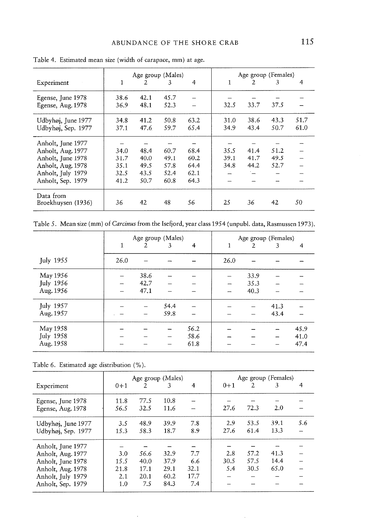|                                 |      |      | Age group (Males) |                |      |      | Age group (Females) |      |
|---------------------------------|------|------|-------------------|----------------|------|------|---------------------|------|
| Experiment                      | 1    | 2    | 3                 | $\overline{4}$ | 1    | 2    | 3                   | 4    |
| Egense, June 1978               | 38.6 | 42.1 | 45.7              |                |      |      |                     |      |
| Egense, Aug. 1978               | 36.9 | 48.1 | 52.3              |                | 32.5 | 33.7 | 37.5                |      |
| Udbyhøj, June 1977              | 34.8 | 41.2 | 50.8              | 63.2           | 31.0 | 38.6 | 43.3                | 51.7 |
| Udbyhøj, Sep. 1977              | 37.1 | 47.6 | 59.7              | 65.4           | 34.9 | 43.4 | 50.7                | 61.0 |
| Anholt, June 1977               |      |      |                   |                |      |      |                     |      |
| Anholt, Aug. 1977               | 34.0 | 48.4 | 60.7              | 68.4           | 35.5 | 41.4 | 51.2                |      |
| Anholt, June 1978               | 31.7 | 40.0 | 49.1              | 60.2           | 39.1 | 41.7 | 49.5                |      |
| Anholt, Aug. 1978               | 35.1 | 49.5 | 57.8              | 64.4           | 34.8 | 44.2 | 52.7                |      |
| Anholt, July 1979               | 32.5 | 43.5 | 52.4              | 62.1           |      |      |                     |      |
| Anholt, Sep. 1979               | 41.2 | 50.7 | 60.8              | 64.3           |      |      |                     |      |
| Data from<br>Broekhuysen (1936) | 36   | 42   | 48                | 56             | 25   | 36   | 42                  | 50   |

Table 4. Estimated mean size (width of carapace, mm) at age.

Table 5. Mean size (mm) of Carcinus from the Isefjord, year class 1954 (unpubl. data, Rasmussen 1973).

|                  |      |                | Age group (Males) |      |                          |      | Age group (Females) |      |
|------------------|------|----------------|-------------------|------|--------------------------|------|---------------------|------|
|                  | 1    | $\overline{2}$ | 3                 | 4    | 1                        | 2    | 3                   | 4    |
| <b>July 1955</b> | 26.0 |                |                   |      | 26.0                     |      |                     |      |
| May 1956         |      | 38.6           |                   |      |                          | 33.9 |                     |      |
| <b>July 1956</b> |      | 42.7           |                   |      | $\overline{\phantom{0}}$ | 35.3 |                     |      |
| Aug. 1956        |      | 47.1           |                   |      |                          | 40.3 |                     |      |
| July 1957        |      |                | 54.4              |      |                          |      | 41.3                |      |
| Aug. 1957        |      |                | 59.8              |      |                          |      | 43.4                |      |
| May 1958         |      |                |                   | 56.2 |                          |      |                     | 45.9 |
| July 1958        |      |                |                   | 58.6 |                          |      |                     | 41.0 |
| Aug. 1958        |      |                |                   | 61.8 |                          |      |                     | 47.4 |

Table 6. Estimated age distribution (%).

|                    |       |                | Age group (Males) |      |         |      | Age group (Females) |     |
|--------------------|-------|----------------|-------------------|------|---------|------|---------------------|-----|
| Experiment         | $0+1$ | $\overline{2}$ | 3                 | 4    | $0 + 1$ | 2    | 3                   | 4   |
| Egense, June 1978  | 11.8  | 77.5           | 10.8              |      |         |      |                     |     |
| Egense, Aug. 1978  | 56.5  | 32.5           | 11.6              |      | 27.6    | 72.3 | 2.0                 |     |
| Udbyhøj, June 1977 | 3.5   | 48.9           | 39.9              | 7.8  | 2.9     | 53.5 | 39.1                | 5.6 |
| Udbyhøj, Sep. 1977 | 15.3  | 58.3           | 18.7              | 8.9  | 27.6    | 61.4 | 13.3                |     |
| Anholt, June 1977  |       |                |                   |      |         |      |                     |     |
| Anholt, Aug. 1977  | 3.0   | 56.6           | 32.9              | 7.7  | 2.8     | 57.2 | 41.3                |     |
| Anholt, June 1978  | 15.5  | 40.0           | 37.9              | 6.6  | 30.5    | 57.5 | 14.4                |     |
| Anholt, Aug. 1978  | 21.8  | 17.1           | 29.1              | 32.1 | 5.4     | 30.5 | 65.0                |     |
| Anholt, July 1979  | 2.1   | 20.1           | 60.2              | 17.7 |         |      |                     |     |
| Anholt, Sep. 1979  | 1.0   | 7.5            | 84.3              | 7.4  |         |      |                     |     |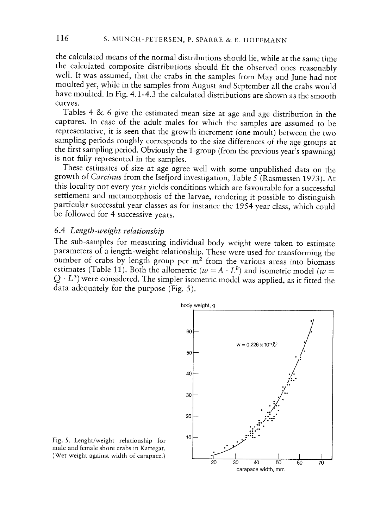the calculated means of the normal distributions should lie, while at the same time the calculated composite distributions should fit the observed ones reasonably well. It was assumed, that the crabs in the samples from May and June had not moulted yet, while in the samples from August and September all the crabs would have moulted. In Fig. 4.1-4.3 the calculated distributions are shown as the smooth curves.

Tables <sup>4</sup> & <sup>6</sup> <sup>g</sup>ive the estimated mean size at age and age distribution in the captures. In case of the adult males for which the samples are assumed to be representative, it is seen that the growth increment (one moult) between the two sampling periods roughly corresponds to the size differences of the age groups at the first sampling period. Obviously the 1-group (from the previous year's spawning) is not fully represented in the samples.

These estimates of size at age agree well with some unpublished data on the growth of Carcinus from the Isefjord investigation, Table <sup>5</sup> (Rasmussen 1973). At this locality not every year <sup>y</sup>ields conditions which are favourable for <sup>a</sup> successful settlement and metamorphosis of the larvae, rendering it possible to distinguish particular successful year classes as for instance the <sup>1954</sup> year class, which could be followed for <sup>4</sup> successive years.

#### 6.4 Length-weight relationship

The sub-samples for measuring individual body weight were taken to estimate parameters of <sup>a</sup> length-weight relationship. These were used for transforming the number of crabs by length group per  $m<sup>2</sup>$  from the various areas into biomass estimates (Table 11). Both the allometric ( $w = A \cdot L^B$ ) and isometric model ( $w =$  $Q \cdot L^3$ ) were considered. The simpler isometric model was applied, as it fitted the data adequately for the purpose (Fig. 5).



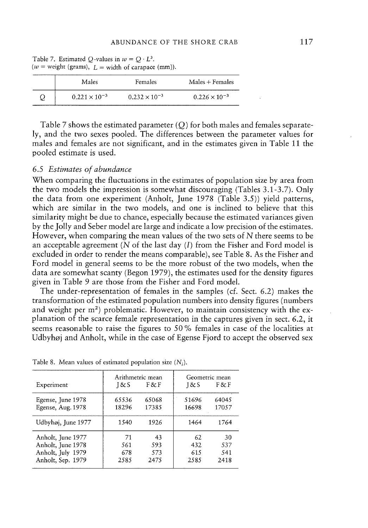| Males                  | Females                | $Males + Females$      |
|------------------------|------------------------|------------------------|
| $0.221 \times 10^{-3}$ | $0.232 \times 10^{-3}$ | $0.226 \times 10^{-3}$ |

Table 7. Estimated Q-values in  $w = Q \cdot L^3$ . ( $w =$  weight (grams),  $L =$  width of carapace (mm)).

Table <sup>7</sup> shows the estimated parameter (Q) for both males and females separate ly, and the two sexes pooled. The differences between the parameter values for males and females are not significant, and in the estimates given in Table 11 the pooled estimate is used.

#### 6.5 Estimates of abundance

When comparing the fluctuations in the estimates of population size by area from the two models the impression is somewhat discouraging (Tables 3.1-3.7). Only the data from one experiment (Anholt, June 1978 (Table 3.5)) yield patterns, which are similar in the two models, and one is inclined to believe that this similarity might be due to chance, especially because the estimated variances given by the Jolly and Seber model are large and indicate <sup>a</sup> low precision of the estimates. However, when comparing the mean values of the two sets of N there seems to be an acceptable agreement (N of the last day  $(I)$  from the Fisher and Ford model is excluded in order to render the means comparable), see Table 8. As the Fisher and Ford model in general seems to be the more robust of the two models, when the data are somewhat scanty (Begon 1979), the estimates used for the density figures given in Table 9 are those from the Fisher and Ford model.

The under-representation of females in the samples (cf. Sect. 6.2) makes the transformation of the estimated population numbers into density figures (numbers and weight per  $m<sup>2</sup>$ ) problematic. However, to maintain consistency with the ex<sup>p</sup>lanation of the scarce female representation in the captures <sup>g</sup>iven in sect. 6.2, it seems reasonable to raise the figures to 50 % females in case of the localities at Udbyhøj and Anholt, while in the case of Egense Fjord to accep<sup>t</sup> the observed sex

| Experiment         | Arithmetric mean<br>18cS | F & F | 18cS  | Geometric mean<br>FXF |
|--------------------|--------------------------|-------|-------|-----------------------|
| Egense, June 1978  | 65536                    | 65068 | 51696 | 64045                 |
| Egense, Aug. 1978  | 18296                    | 17385 | 16698 | 17057                 |
| Udbyhøj, June 1977 | 1540                     | 1926  | 1464  | 1764                  |
| Anholt, June 1977  | 71                       | 43    | 62    | 30                    |
| Anholt, June 1978  | 561                      | 593   | 432   | 537                   |
| Anholt, July 1979  | 678                      | 573   | 615   | 541                   |
| Anholt, Sep. 1979  | 2585                     | 2475  | 2585  | 2418                  |

Table 8. Mean values of estimated population size  $(N_i)$ .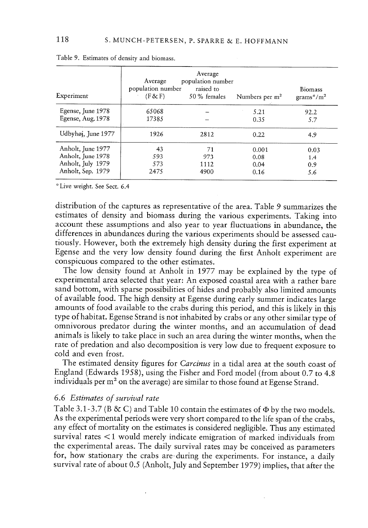| Experiment         | Average<br>population number<br>(F & F) | Average<br>population number<br>raised to<br>50 % females | Numbers per $m2$ | <b>Biomass</b><br>$grams*/m2$ |
|--------------------|-----------------------------------------|-----------------------------------------------------------|------------------|-------------------------------|
| Egense, June 1978  | 65068                                   |                                                           | 5.21             | 92.2                          |
| Egense, Aug. 1978  | 17385                                   |                                                           | 0.35             | 5.7                           |
| Udbyhøj, June 1977 | 1926                                    | 2812                                                      | 0.22             | 4.9                           |
| Anholt, June 1977  | 43                                      | 71                                                        | 0.001            | 0.03                          |
| Anholt, June 1978  | 593                                     | 973                                                       | 0.08             | 1.4                           |
| Anholt, July 1979  | 573                                     | 1112                                                      | 0.04             | 0.9                           |
| Anholt, Sep. 1979  | 2475                                    | 4900                                                      | 0.16             | 5.6                           |

Table 9. Estimates of density and biomass.

Live weight. See Sect. 6.4

distribution of the captures as representative of the area. Table 9 summarizes the estimates of density and biomass during the various experiments. Taking into account these assumptions and also year to year fluctuations in abundance, the differences in abundances during the various experiments should be assessed cau tiously. However, both the extremely high density during the first experiment at Egense and the very low density found during the first Anholt experiment are conspicuous compared to the other estimates.

The low density found at Anholt in <sup>1977</sup> may be explained by the type of experimental area selected that year: An exposed coastal area with <sup>a</sup> rather bare sand bottom, with sparse possibilities of hides and probably also limited amounts of available food. The high density at Egense during early summer indicates large amounts of food available to the crabs during this period, and this is likely in this type of habitat. Egense Strand is not inhabited by crabs or any other similar type of omnivorous predator during the winter months, and an accumulation of dead animals is likely to take <sup>p</sup>lace in such an area during the winter months, when the rate of predation and also decomposition is very low due to frequent exposure to cold and even frost.

The estimated density figures for Carcinus in a tidal area at the south coast of England (Edwards 1958), using the Fisher and Ford model (from about 0.7 to 4.8 individuals per <sup>m</sup><sup>2</sup> on the average) are similar to those found at Egense Strand.

## 6.6 Estimates of survival rate

Table 3.1-3.7 (B & C) and Table 10 contain the estimates of  $\Phi$  by the two models. As the experimental periods were very short compared to the life span of the crabs, any effect of mortality on the estimates is considered negligible. Thus any estimated survival rates <1 would merely indicate emigration of marked individuals from the experimental areas. The daily survival rates may be conceived as parameters for, how stationary the crabs are-during the experiments. For instance, <sup>a</sup> daily survival rate of about 0.5 (Anholt, July and September 1979) implies, that after the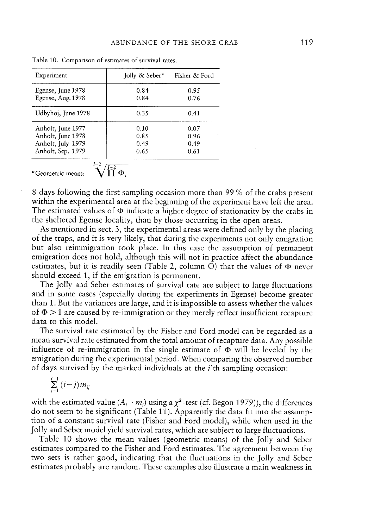| Experiment                                                                       | Jolly & Seber*               | Fisher & Ford                |
|----------------------------------------------------------------------------------|------------------------------|------------------------------|
| Egense, June 1978<br>Egense, Aug. 1978                                           | 0.84<br>0.84                 | 0.95<br>0.76                 |
| Udbyhøj, June 1978                                                               | 0.35                         | 0.41                         |
| Anholt, June 1977<br>Anholt, June 1978<br>Anholt, July 1979<br>Anholt, Sep. 1979 | 0.10<br>0.85<br>0.49<br>0.65 | 0.07<br>0.96<br>0.49<br>0.61 |
|                                                                                  |                              |                              |

Table 10. Comparison of estimates of survival rates.

\*Geometric means: 
$$
\sqrt{\prod_{i=1}^{L-2} \Phi_i}
$$

<sup>8</sup> days following the first sampling occasion more than <sup>99</sup> % of the crabs presen<sup>t</sup> within the experimental area at the beginning of the experiment have left the area. The estimated values of  $\Phi$  indicate a higher degree of stationarity by the crabs in the sheltered Egense locality, than by those occurring in the open areas.

As mentioned in sect. 3, the experimental areas were defined only by the <sup>p</sup>lacing of the traps, and it is very likely, that during the experiments not only emigration but also reimmigration took <sup>p</sup>lace. In this case the assumption of permanen<sup>t</sup> emigration does not hold, although this will not in practice affect the abundance estimates, but it is readily seen (Table 2, column O) that the values of  $\Phi$  never should exceed 1, if the emigration is permanent.

The Jolly and Seber estimates of survival rate are subject to large fluctuations and in some cases (especially during the experiments in Egense) become greater than 1. But the variances are large, and it is impossible to assess whether the values of  $\Phi > 1$  are caused by re-immigration or they merely reflect insufficient recapture data to this model.

The survival rate estimated by the Fisher and Ford model can be regarded as <sup>a</sup> mean survival rate estimated from the total amount of recapture data. Any possible influence of re-immigration in the single estimate of  $\Phi$  will be leveled by the emigration during the experimental period. When comparing the observed number of days survived by the marked individuals at the  $i$ <sup>th</sup> sampling occasion:

$$
\sum_{j=1}^{i-1} (i-j) m_{ij}
$$

with the estimated value  $(A_i \cdot m_i)$  using a  $\chi^2$ -test (cf. Begon 1979)), the differences do not seem to be significant (Table 11). Apparently the data fit into the assump tion of <sup>a</sup> constant survival rate (Fisher and Ford model), while when used in the Jolly and Seber model <sup>y</sup>ield survival rates, which are subject to large fluctuations.

Table <sup>10</sup> shows the mean values (geometric means) of the Jolly and Seber estimates compared to the Fisher and Ford estimates. The agreemen<sup>t</sup> between the two sets is rather good, indicating that the fluctuations in the Jolly and Seber estimates probably are random. These examples also illustrate <sup>a</sup> main weakness in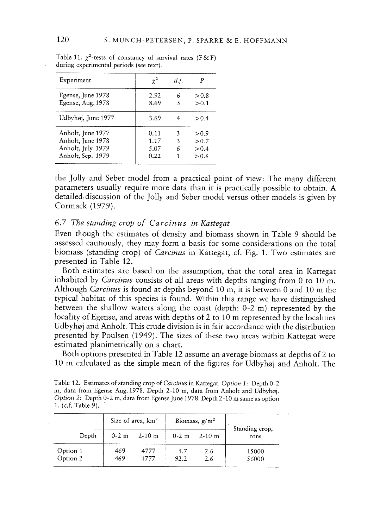| Experiment                                                                       | $\gamma^2$                   | d.f.        |                                  |
|----------------------------------------------------------------------------------|------------------------------|-------------|----------------------------------|
| Egense, June 1978<br>Egense, Aug. 1978                                           | 2.92<br>8.69                 | 6           | > 0.8<br>> 0.1                   |
| Udbyhøj, June 1977                                                               | 3.69                         |             | > 0.4                            |
| Anholt, June 1977<br>Anholt, June 1978<br>Anholt, July 1979<br>Anholt, Sep. 1979 | 0.11<br>1.17<br>5.07<br>0.22 | 3<br>3<br>6 | > 0.9<br>> 0.7<br>> 0.4<br>> 0.6 |

Table 11.  $\chi^2$ -tests of constancy of survival rates (F&F) during experimental periods (see text).

the Jolly and Seber model from <sup>a</sup> practical point of view: The many different parameters usually require more data than it is practically possible to obtain. A detailed.discussion of the Jolly and Seber model versus other models is <sup>g</sup>iven by Cormack (1979).

# 6.7 The standing crop of Carcinus in Kattegat

Even though the estimates of density and biomass shown in Table 9 should be assessed cautiously, they may form <sup>a</sup> basis for some considerations on the total biomass (standing crop) of Carcinus in Kattegat, cf. Fig. 1. Two estimates are presented in Table 12.

Both estimates are based on the assumption, that the total area in Kattegat inhabited by *Carcinus* consists of all areas with depths ranging from 0 to 10 m. Although Carcinus is found at depths beyond 10 m, it is between 0 and 10 <sup>m</sup> the typical habitat of this species is found. Within this range we have distinguished between the shallow waters along the coast (depth: 0-2 m) represented by the locality of Egense, and areas with depths of <sup>2</sup> to <sup>10</sup> <sup>m</sup> represented by the localities Udbyhøj and Anholt. This crude division is in fair accordance with the distribution presented by Poulsen (1949). The sizes of these two areas within Kattegat were estimated planimetrically on <sup>a</sup> chart.

Both options presented in Table <sup>12</sup> assume an average biomass at depths of <sup>2</sup> to 10 <sup>m</sup> calculated as the simple mean of the figures for Udbyhøj and Anholt. The

| Table 12. Estimates of standing crop of <i>Carcinus</i> in Kattegat. Option 1: Depth 0-2 |
|------------------------------------------------------------------------------------------|
| m, data from Egense Aug. 1978. Depth 2-10 m, data from Anholt and Udbyhøj.               |
| Option 2: Depth 0-2 m, data from Egense June 1978. Depth 2-10 m same as option           |
| 1. (c.f. Table 9).                                                                       |

|                      | Size of area, km <sup>2</sup> |              | Biomass, $g/m2$ |            | Standing crop, |
|----------------------|-------------------------------|--------------|-----------------|------------|----------------|
| Depth                | $0 - 2$ m                     | $2-10$ m     | $0-2$ m         | $2 - 10$ m | tons           |
| Option 1<br>Option 2 | 469<br>469                    | 4777<br>4777 | 5.7<br>92.2     | 2.6<br>2.6 | 15000<br>56000 |